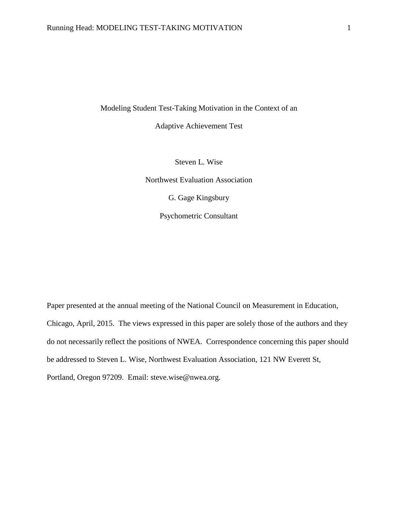Modeling Student Test-Taking Motivation in the Context of an

Adaptive Achievement Test

Steven L. Wise

Northwest Evaluation Association

G. Gage Kingsbury

Psychometric Consultant

Paper presented at the annual meeting of the National Council on Measurement in Education, Chicago, April, 2015. The views expressed in this paper are solely those of the authors and they do not necessarily reflect the positions of NWEA. Correspondence concerning this paper should be addressed to Steven L. Wise, Northwest Evaluation Association, 121 NW Everett St, Portland, Oregon 97209. Email: steve.wise@nwea.org.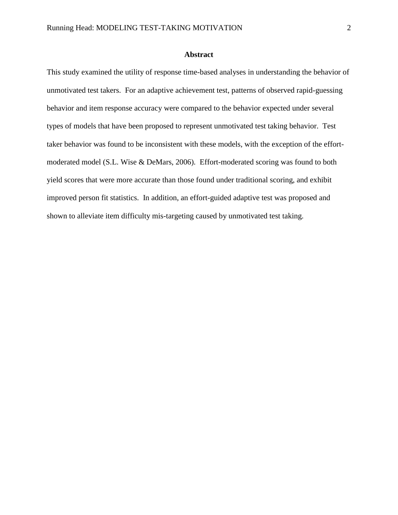## **Abstract**

This study examined the utility of response time-based analyses in understanding the behavior of unmotivated test takers. For an adaptive achievement test, patterns of observed rapid-guessing behavior and item response accuracy were compared to the behavior expected under several types of models that have been proposed to represent unmotivated test taking behavior. Test taker behavior was found to be inconsistent with these models, with the exception of the effortmoderated model (S.L. Wise & DeMars, 2006). Effort-moderated scoring was found to both yield scores that were more accurate than those found under traditional scoring, and exhibit improved person fit statistics. In addition, an effort-guided adaptive test was proposed and shown to alleviate item difficulty mis-targeting caused by unmotivated test taking.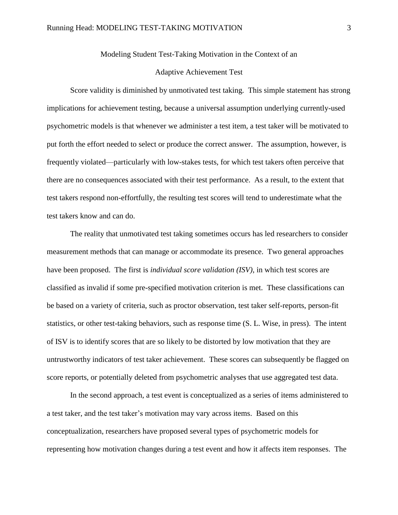## Modeling Student Test-Taking Motivation in the Context of an

### Adaptive Achievement Test

Score validity is diminished by unmotivated test taking. This simple statement has strong implications for achievement testing, because a universal assumption underlying currently-used psychometric models is that whenever we administer a test item, a test taker will be motivated to put forth the effort needed to select or produce the correct answer. The assumption, however, is frequently violated—particularly with low-stakes tests, for which test takers often perceive that there are no consequences associated with their test performance. As a result, to the extent that test takers respond non-effortfully, the resulting test scores will tend to underestimate what the test takers know and can do.

The reality that unmotivated test taking sometimes occurs has led researchers to consider measurement methods that can manage or accommodate its presence. Two general approaches have been proposed. The first is *individual score validation (ISV)*, in which test scores are classified as invalid if some pre-specified motivation criterion is met. These classifications can be based on a variety of criteria, such as proctor observation, test taker self-reports, person-fit statistics, or other test-taking behaviors, such as response time (S. L. Wise, in press). The intent of ISV is to identify scores that are so likely to be distorted by low motivation that they are untrustworthy indicators of test taker achievement. These scores can subsequently be flagged on score reports, or potentially deleted from psychometric analyses that use aggregated test data.

In the second approach, a test event is conceptualized as a series of items administered to a test taker, and the test taker's motivation may vary across items. Based on this conceptualization, researchers have proposed several types of psychometric models for representing how motivation changes during a test event and how it affects item responses. The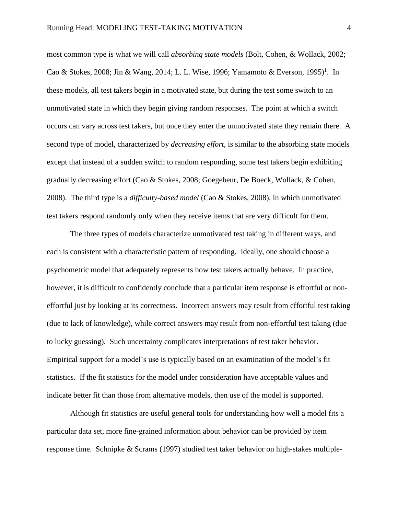most common type is what we will call *absorbing state models* (Bolt, Cohen, & Wollack, 2002; Cao & Stokes, 2008; Jin & Wang, 2014; L. L. Wise, 1996; Yamamoto & Everson, 1995)<sup>1</sup>. In these models, all test takers begin in a motivated state, but during the test some switch to an unmotivated state in which they begin giving random responses. The point at which a switch occurs can vary across test takers, but once they enter the unmotivated state they remain there. A second type of model, characterized by *decreasing effort*, is similar to the absorbing state models except that instead of a sudden switch to random responding, some test takers begin exhibiting gradually decreasing effort (Cao & Stokes, 2008; Goegebeur, De Boeck, Wollack, & Cohen, 2008). The third type is a *difficulty-based model* (Cao & Stokes, 2008), in which unmotivated test takers respond randomly only when they receive items that are very difficult for them.

The three types of models characterize unmotivated test taking in different ways, and each is consistent with a characteristic pattern of responding. Ideally, one should choose a psychometric model that adequately represents how test takers actually behave. In practice, however, it is difficult to confidently conclude that a particular item response is effortful or noneffortful just by looking at its correctness. Incorrect answers may result from effortful test taking (due to lack of knowledge), while correct answers may result from non-effortful test taking (due to lucky guessing). Such uncertainty complicates interpretations of test taker behavior. Empirical support for a model's use is typically based on an examination of the model's fit statistics. If the fit statistics for the model under consideration have acceptable values and indicate better fit than those from alternative models, then use of the model is supported.

Although fit statistics are useful general tools for understanding how well a model fits a particular data set, more fine-grained information about behavior can be provided by item response time. Schnipke & Scrams (1997) studied test taker behavior on high-stakes multiple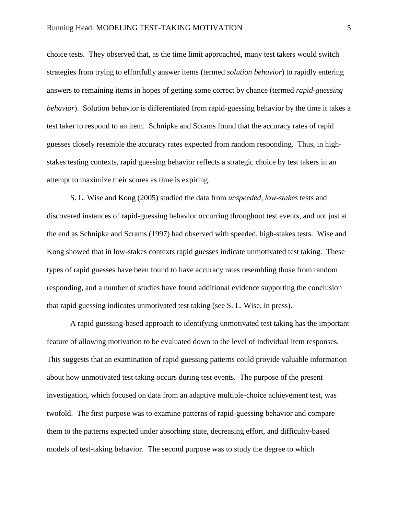choice tests. They observed that, as the time limit approached, many test takers would switch strategies from trying to effortfully answer items (termed *solution behavior*) to rapidly entering answers to remaining items in hopes of getting some correct by chance (termed *rapid-guessing behavior*). Solution behavior is differentiated from rapid-guessing behavior by the time it takes a test taker to respond to an item. Schnipke and Scrams found that the accuracy rates of rapid guesses closely resemble the accuracy rates expected from random responding. Thus, in highstakes testing contexts, rapid guessing behavior reflects a strategic choice by test takers in an attempt to maximize their scores as time is expiring.

S. L. Wise and Kong (2005) studied the data from *unspeeded, low-stakes* tests and discovered instances of rapid-guessing behavior occurring throughout test events, and not just at the end as Schnipke and Scrams (1997) had observed with speeded, high-stakes tests. Wise and Kong showed that in low-stakes contexts rapid guesses indicate unmotivated test taking. These types of rapid guesses have been found to have accuracy rates resembling those from random responding, and a number of studies have found additional evidence supporting the conclusion that rapid guessing indicates unmotivated test taking (see S. L. Wise, in press).

A rapid guessing-based approach to identifying unmotivated test taking has the important feature of allowing motivation to be evaluated down to the level of individual item responses. This suggests that an examination of rapid guessing patterns could provide valuable information about how unmotivated test taking occurs during test events. The purpose of the present investigation, which focused on data from an adaptive multiple-choice achievement test, was twofold. The first purpose was to examine patterns of rapid-guessing behavior and compare them to the patterns expected under absorbing state, decreasing effort, and difficulty-based models of test-taking behavior. The second purpose was to study the degree to which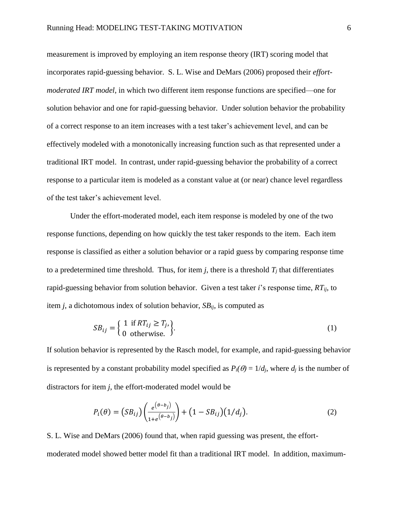measurement is improved by employing an item response theory (IRT) scoring model that incorporates rapid-guessing behavior. S. L. Wise and DeMars (2006) proposed their *effortmoderated IRT model*, in which two different item response functions are specified—one for solution behavior and one for rapid-guessing behavior. Under solution behavior the probability of a correct response to an item increases with a test taker's achievement level, and can be effectively modeled with a monotonically increasing function such as that represented under a traditional IRT model. In contrast, under rapid-guessing behavior the probability of a correct response to a particular item is modeled as a constant value at (or near) chance level regardless of the test taker's achievement level.

Under the effort-moderated model, each item response is modeled by one of the two response functions, depending on how quickly the test taker responds to the item. Each item response is classified as either a solution behavior or a rapid guess by comparing response time to a predetermined time threshold. Thus, for item *j*, there is a threshold  $T_i$  that differentiates rapid-guessing behavior from solution behavior. Given a test taker *i*'s response time, *RTij*, to item *j*, a dichotomous index of solution behavior, *SBij*, is computed as

$$
SB_{ij} = \left\{ \begin{array}{l} 1 \text{ if } RT_{ij} \ge T_j, \\ 0 \text{ otherwise.} \end{array} \right\}.
$$
 (1)

If solution behavior is represented by the Rasch model, for example, and rapid-guessing behavior is represented by a constant probability model specified as  $P_i(\theta) = 1/d_i$ , where  $d_i$  is the number of distractors for item *j*, the effort-moderated model would be

$$
P_i(\theta) = (SB_{ij}) \left( \frac{e^{(\theta - b_j)}}{1 + e^{(\theta - b_j)}} \right) + (1 - SB_{ij}) (1/d_j).
$$
 (2)

S. L. Wise and DeMars (2006) found that, when rapid guessing was present, the effortmoderated model showed better model fit than a traditional IRT model. In addition, maximum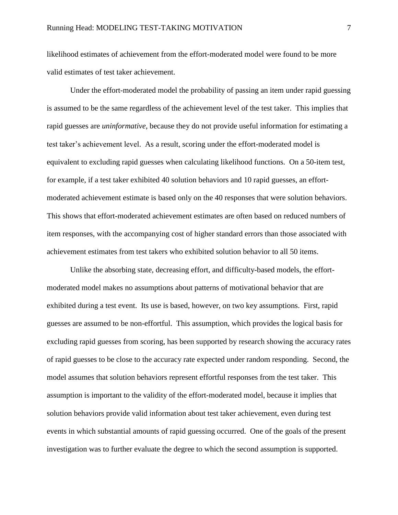likelihood estimates of achievement from the effort-moderated model were found to be more valid estimates of test taker achievement.

Under the effort-moderated model the probability of passing an item under rapid guessing is assumed to be the same regardless of the achievement level of the test taker. This implies that rapid guesses are *uninformative*, because they do not provide useful information for estimating a test taker's achievement level. As a result, scoring under the effort-moderated model is equivalent to excluding rapid guesses when calculating likelihood functions. On a 50-item test, for example, if a test taker exhibited 40 solution behaviors and 10 rapid guesses, an effortmoderated achievement estimate is based only on the 40 responses that were solution behaviors. This shows that effort-moderated achievement estimates are often based on reduced numbers of item responses, with the accompanying cost of higher standard errors than those associated with achievement estimates from test takers who exhibited solution behavior to all 50 items.

Unlike the absorbing state, decreasing effort, and difficulty-based models, the effortmoderated model makes no assumptions about patterns of motivational behavior that are exhibited during a test event. Its use is based, however, on two key assumptions. First, rapid guesses are assumed to be non-effortful. This assumption, which provides the logical basis for excluding rapid guesses from scoring, has been supported by research showing the accuracy rates of rapid guesses to be close to the accuracy rate expected under random responding. Second, the model assumes that solution behaviors represent effortful responses from the test taker. This assumption is important to the validity of the effort-moderated model, because it implies that solution behaviors provide valid information about test taker achievement, even during test events in which substantial amounts of rapid guessing occurred. One of the goals of the present investigation was to further evaluate the degree to which the second assumption is supported.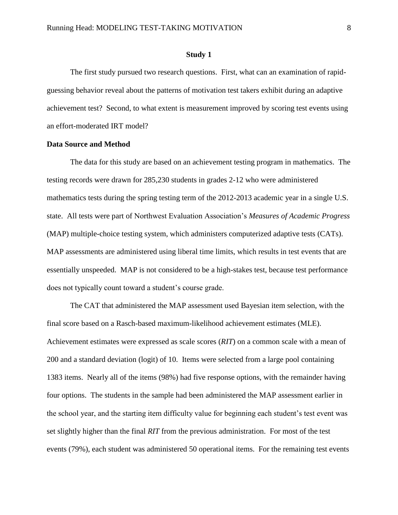#### **Study 1**

The first study pursued two research questions. First, what can an examination of rapidguessing behavior reveal about the patterns of motivation test takers exhibit during an adaptive achievement test? Second, to what extent is measurement improved by scoring test events using an effort-moderated IRT model?

## **Data Source and Method**

The data for this study are based on an achievement testing program in mathematics. The testing records were drawn for 285,230 students in grades 2-12 who were administered mathematics tests during the spring testing term of the 2012-2013 academic year in a single U.S. state. All tests were part of Northwest Evaluation Association's *Measures of Academic Progress*  (MAP) multiple-choice testing system, which administers computerized adaptive tests (CATs). MAP assessments are administered using liberal time limits, which results in test events that are essentially unspeeded. MAP is not considered to be a high-stakes test, because test performance does not typically count toward a student's course grade.

The CAT that administered the MAP assessment used Bayesian item selection, with the final score based on a Rasch-based maximum-likelihood achievement estimates (MLE). Achievement estimates were expressed as scale scores (*RIT*) on a common scale with a mean of 200 and a standard deviation (logit) of 10. Items were selected from a large pool containing 1383 items. Nearly all of the items (98%) had five response options, with the remainder having four options. The students in the sample had been administered the MAP assessment earlier in the school year, and the starting item difficulty value for beginning each student's test event was set slightly higher than the final *RIT* from the previous administration. For most of the test events (79%), each student was administered 50 operational items. For the remaining test events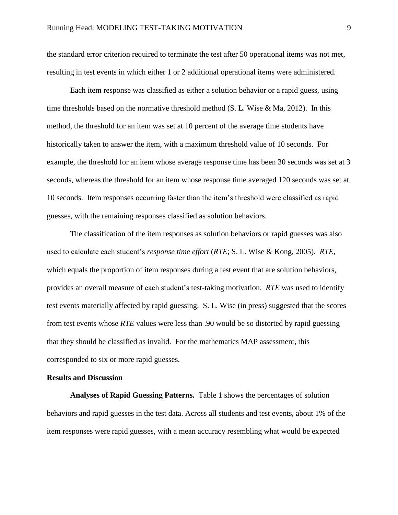the standard error criterion required to terminate the test after 50 operational items was not met, resulting in test events in which either 1 or 2 additional operational items were administered.

Each item response was classified as either a solution behavior or a rapid guess, using time thresholds based on the normative threshold method (S. L. Wise  $\&$  Ma, 2012). In this method, the threshold for an item was set at 10 percent of the average time students have historically taken to answer the item, with a maximum threshold value of 10 seconds. For example, the threshold for an item whose average response time has been 30 seconds was set at 3 seconds, whereas the threshold for an item whose response time averaged 120 seconds was set at 10 seconds. Item responses occurring faster than the item's threshold were classified as rapid guesses, with the remaining responses classified as solution behaviors.

The classification of the item responses as solution behaviors or rapid guesses was also used to calculate each student's *response time effort* (*RTE*; S. L. Wise & Kong, 2005). *RTE*, which equals the proportion of item responses during a test event that are solution behaviors, provides an overall measure of each student's test-taking motivation. *RTE* was used to identify test events materially affected by rapid guessing. S. L. Wise (in press) suggested that the scores from test events whose *RTE* values were less than .90 would be so distorted by rapid guessing that they should be classified as invalid. For the mathematics MAP assessment, this corresponded to six or more rapid guesses.

# **Results and Discussion**

**Analyses of Rapid Guessing Patterns.** Table 1 shows the percentages of solution behaviors and rapid guesses in the test data. Across all students and test events, about 1% of the item responses were rapid guesses, with a mean accuracy resembling what would be expected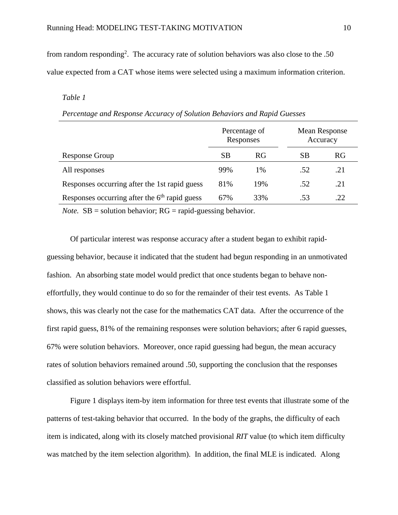from random responding<sup>2</sup>. The accuracy rate of solution behaviors was also close to the .50 value expected from a CAT whose items were selected using a maximum information criterion.

# *Table 1*

| Percentage and Response Accuracy of Solution Behaviors and Rapid Guesses |  |  |
|--------------------------------------------------------------------------|--|--|
|                                                                          |  |  |

|                                                 | Percentage of<br>Responses |           | Accuracy | <b>Mean Response</b> |
|-------------------------------------------------|----------------------------|-----------|----------|----------------------|
| Response Group                                  | <b>SB</b>                  | <b>RG</b> | SВ       | RG                   |
| All responses                                   | 99%                        | 1%        | .52      | .21                  |
| Responses occurring after the 1st rapid guess   | 81%                        | 19%       | .52      | .21                  |
| Responses occurring after the $6th$ rapid guess | 67%                        | 33%       | .53      | .22                  |
|                                                 |                            |           |          |                      |

*Note.*  $SB =$  solution behavior;  $RG =$  rapid-guessing behavior.

Of particular interest was response accuracy after a student began to exhibit rapidguessing behavior, because it indicated that the student had begun responding in an unmotivated fashion. An absorbing state model would predict that once students began to behave noneffortfully, they would continue to do so for the remainder of their test events. As Table 1 shows, this was clearly not the case for the mathematics CAT data. After the occurrence of the first rapid guess, 81% of the remaining responses were solution behaviors; after 6 rapid guesses, 67% were solution behaviors. Moreover, once rapid guessing had begun, the mean accuracy rates of solution behaviors remained around .50, supporting the conclusion that the responses classified as solution behaviors were effortful.

Figure 1 displays item-by item information for three test events that illustrate some of the patterns of test-taking behavior that occurred. In the body of the graphs, the difficulty of each item is indicated, along with its closely matched provisional *RIT* value (to which item difficulty was matched by the item selection algorithm). In addition, the final MLE is indicated. Along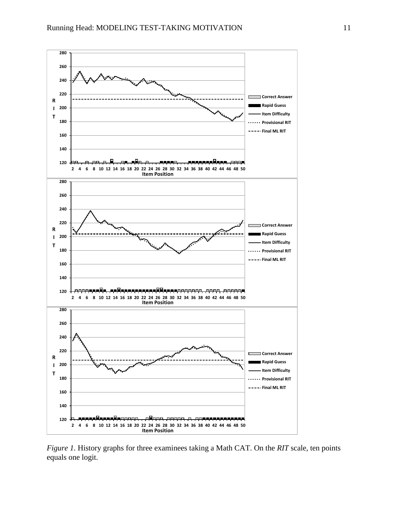

*Figure 1.* History graphs for three examinees taking a Math CAT. On the *RIT* scale, ten points equals one logit.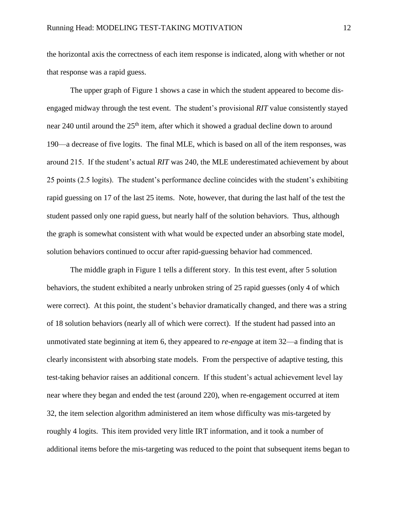the horizontal axis the correctness of each item response is indicated, along with whether or not that response was a rapid guess.

The upper graph of Figure 1 shows a case in which the student appeared to become disengaged midway through the test event. The student's provisional *RIT* value consistently stayed near 240 until around the 25<sup>th</sup> item, after which it showed a gradual decline down to around 190—a decrease of five logits. The final MLE, which is based on all of the item responses, was around 215. If the student's actual *RIT* was 240, the MLE underestimated achievement by about 25 points (2.5 logits). The student's performance decline coincides with the student's exhibiting rapid guessing on 17 of the last 25 items. Note, however, that during the last half of the test the student passed only one rapid guess, but nearly half of the solution behaviors. Thus, although the graph is somewhat consistent with what would be expected under an absorbing state model, solution behaviors continued to occur after rapid-guessing behavior had commenced.

The middle graph in Figure 1 tells a different story. In this test event, after 5 solution behaviors, the student exhibited a nearly unbroken string of 25 rapid guesses (only 4 of which were correct). At this point, the student's behavior dramatically changed, and there was a string of 18 solution behaviors (nearly all of which were correct). If the student had passed into an unmotivated state beginning at item 6, they appeared to *re-engag*e at item 32—a finding that is clearly inconsistent with absorbing state models. From the perspective of adaptive testing, this test-taking behavior raises an additional concern. If this student's actual achievement level lay near where they began and ended the test (around 220), when re-engagement occurred at item 32, the item selection algorithm administered an item whose difficulty was mis-targeted by roughly 4 logits. This item provided very little IRT information, and it took a number of additional items before the mis-targeting was reduced to the point that subsequent items began to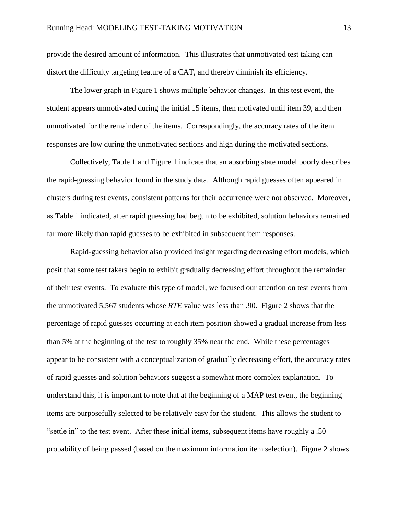provide the desired amount of information. This illustrates that unmotivated test taking can distort the difficulty targeting feature of a CAT, and thereby diminish its efficiency.

The lower graph in Figure 1 shows multiple behavior changes. In this test event, the student appears unmotivated during the initial 15 items, then motivated until item 39, and then unmotivated for the remainder of the items. Correspondingly, the accuracy rates of the item responses are low during the unmotivated sections and high during the motivated sections.

Collectively, Table 1 and Figure 1 indicate that an absorbing state model poorly describes the rapid-guessing behavior found in the study data. Although rapid guesses often appeared in clusters during test events, consistent patterns for their occurrence were not observed. Moreover, as Table 1 indicated, after rapid guessing had begun to be exhibited, solution behaviors remained far more likely than rapid guesses to be exhibited in subsequent item responses.

Rapid-guessing behavior also provided insight regarding decreasing effort models, which posit that some test takers begin to exhibit gradually decreasing effort throughout the remainder of their test events. To evaluate this type of model, we focused our attention on test events from the unmotivated 5,567 students whose *RTE* value was less than .90. Figure 2 shows that the percentage of rapid guesses occurring at each item position showed a gradual increase from less than 5% at the beginning of the test to roughly 35% near the end. While these percentages appear to be consistent with a conceptualization of gradually decreasing effort, the accuracy rates of rapid guesses and solution behaviors suggest a somewhat more complex explanation. To understand this, it is important to note that at the beginning of a MAP test event, the beginning items are purposefully selected to be relatively easy for the student. This allows the student to "settle in" to the test event. After these initial items, subsequent items have roughly a .50 probability of being passed (based on the maximum information item selection). Figure 2 shows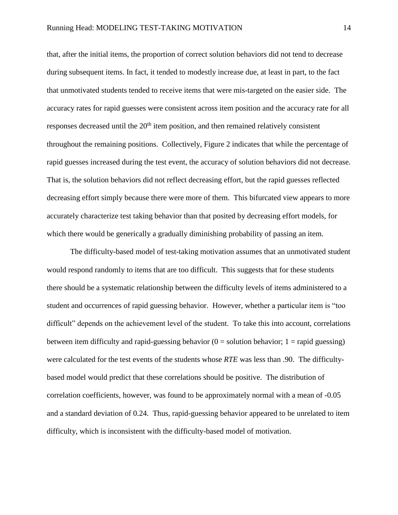that, after the initial items, the proportion of correct solution behaviors did not tend to decrease during subsequent items. In fact, it tended to modestly increase due, at least in part, to the fact that unmotivated students tended to receive items that were mis-targeted on the easier side. The accuracy rates for rapid guesses were consistent across item position and the accuracy rate for all responses decreased until the  $20<sup>th</sup>$  item position, and then remained relatively consistent throughout the remaining positions. Collectively, Figure 2 indicates that while the percentage of rapid guesses increased during the test event, the accuracy of solution behaviors did not decrease. That is, the solution behaviors did not reflect decreasing effort, but the rapid guesses reflected decreasing effort simply because there were more of them. This bifurcated view appears to more accurately characterize test taking behavior than that posited by decreasing effort models, for which there would be generically a gradually diminishing probability of passing an item.

The difficulty-based model of test-taking motivation assumes that an unmotivated student would respond randomly to items that are too difficult. This suggests that for these students there should be a systematic relationship between the difficulty levels of items administered to a student and occurrences of rapid guessing behavior. However, whether a particular item is "too difficult" depends on the achievement level of the student. To take this into account, correlations between item difficulty and rapid-guessing behavior  $(0 =$  solution behavior;  $1 =$  rapid guessing) were calculated for the test events of the students whose *RTE* was less than .90. The difficultybased model would predict that these correlations should be positive. The distribution of correlation coefficients, however, was found to be approximately normal with a mean of -0.05 and a standard deviation of 0.24. Thus, rapid-guessing behavior appeared to be unrelated to item difficulty, which is inconsistent with the difficulty-based model of motivation.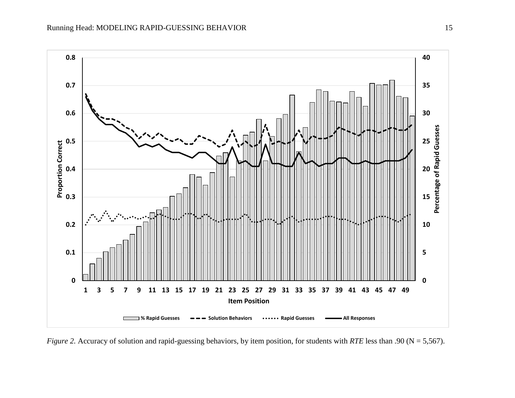

*Figure 2.* Accuracy of solution and rapid-guessing behaviors, by item position, for students with *RTE* less than .90 (N = 5,567).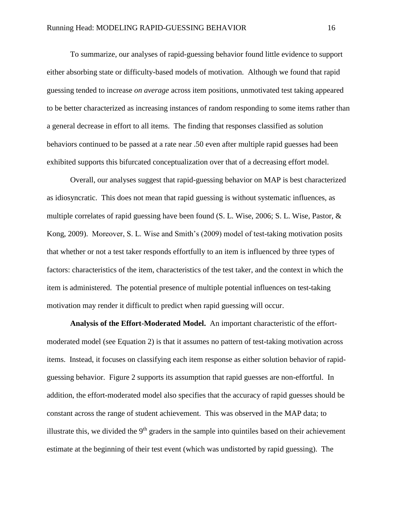To summarize, our analyses of rapid-guessing behavior found little evidence to support either absorbing state or difficulty-based models of motivation. Although we found that rapid guessing tended to increase *on average* across item positions, unmotivated test taking appeared to be better characterized as increasing instances of random responding to some items rather than a general decrease in effort to all items. The finding that responses classified as solution behaviors continued to be passed at a rate near .50 even after multiple rapid guesses had been exhibited supports this bifurcated conceptualization over that of a decreasing effort model.

Overall, our analyses suggest that rapid-guessing behavior on MAP is best characterized as idiosyncratic. This does not mean that rapid guessing is without systematic influences, as multiple correlates of rapid guessing have been found (S. L. Wise, 2006; S. L. Wise, Pastor, & Kong, 2009). Moreover, S. L. Wise and Smith's (2009) model of test-taking motivation posits that whether or not a test taker responds effortfully to an item is influenced by three types of factors: characteristics of the item, characteristics of the test taker, and the context in which the item is administered. The potential presence of multiple potential influences on test-taking motivation may render it difficult to predict when rapid guessing will occur.

**Analysis of the Effort-Moderated Model.** An important characteristic of the effortmoderated model (see Equation 2) is that it assumes no pattern of test-taking motivation across items. Instead, it focuses on classifying each item response as either solution behavior of rapidguessing behavior. Figure 2 supports its assumption that rapid guesses are non-effortful. In addition, the effort-moderated model also specifies that the accuracy of rapid guesses should be constant across the range of student achievement. This was observed in the MAP data; to illustrate this, we divided the  $9<sup>th</sup>$  graders in the sample into quintiles based on their achievement estimate at the beginning of their test event (which was undistorted by rapid guessing). The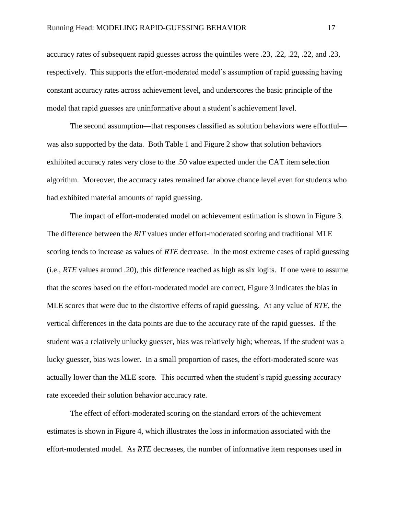accuracy rates of subsequent rapid guesses across the quintiles were .23, .22, .22, .22, and .23, respectively. This supports the effort-moderated model's assumption of rapid guessing having constant accuracy rates across achievement level, and underscores the basic principle of the model that rapid guesses are uninformative about a student's achievement level.

The second assumption—that responses classified as solution behaviors were effortful was also supported by the data. Both Table 1 and Figure 2 show that solution behaviors exhibited accuracy rates very close to the .50 value expected under the CAT item selection algorithm. Moreover, the accuracy rates remained far above chance level even for students who had exhibited material amounts of rapid guessing.

The impact of effort-moderated model on achievement estimation is shown in Figure 3. The difference between the *RIT* values under effort-moderated scoring and traditional MLE scoring tends to increase as values of *RTE* decrease. In the most extreme cases of rapid guessing (i.e., *RTE* values around .20), this difference reached as high as six logits. If one were to assume that the scores based on the effort-moderated model are correct, Figure 3 indicates the bias in MLE scores that were due to the distortive effects of rapid guessing. At any value of *RTE*, the vertical differences in the data points are due to the accuracy rate of the rapid guesses. If the student was a relatively unlucky guesser, bias was relatively high; whereas, if the student was a lucky guesser, bias was lower. In a small proportion of cases, the effort-moderated score was actually lower than the MLE score. This occurred when the student's rapid guessing accuracy rate exceeded their solution behavior accuracy rate.

The effect of effort-moderated scoring on the standard errors of the achievement estimates is shown in Figure 4, which illustrates the loss in information associated with the effort-moderated model. As *RTE* decreases, the number of informative item responses used in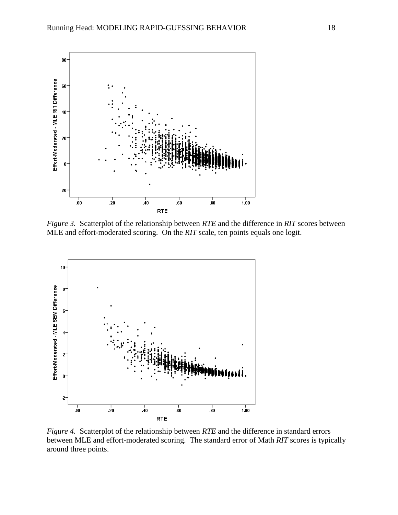

*Figure 3.* Scatterplot of the relationship between *RTE* and the difference in *RIT* scores between MLE and effort-moderated scoring. On the *RIT* scale, ten points equals one logit.



*Figure 4.* Scatterplot of the relationship between *RTE* and the difference in standard errors between MLE and effort-moderated scoring. The standard error of Math *RIT* scores is typically around three points.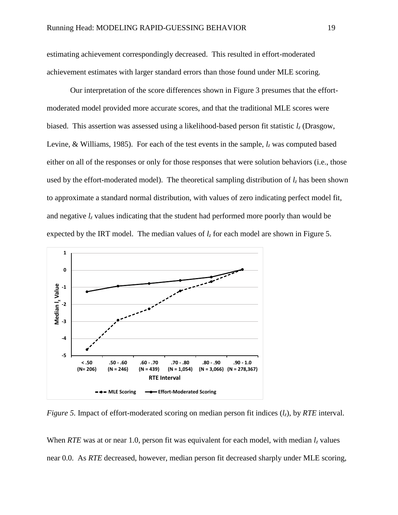estimating achievement correspondingly decreased. This resulted in effort-moderated achievement estimates with larger standard errors than those found under MLE scoring.

Our interpretation of the score differences shown in Figure 3 presumes that the effortmoderated model provided more accurate scores, and that the traditional MLE scores were biased. This assertion was assessed using a likelihood-based person fit statistic *l<sup>z</sup>* (Drasgow, Levine, & Williams, 1985). For each of the test events in the sample, *l<sup>z</sup>* was computed based either on all of the responses or only for those responses that were solution behaviors (i.e., those used by the effort-moderated model). The theoretical sampling distribution of  $l_z$  has been shown to approximate a standard normal distribution, with values of zero indicating perfect model fit, and negative  $l_z$  values indicating that the student had performed more poorly than would be expected by the IRT model. The median values of  $l_z$  for each model are shown in Figure 5.



*Figure 5.* Impact of effort-moderated scoring on median person fit indices (*lz*), by *RTE* interval.

When *RTE* was at or near 1.0, person fit was equivalent for each model, with median  $l_z$  values near 0.0. As *RTE* decreased, however, median person fit decreased sharply under MLE scoring,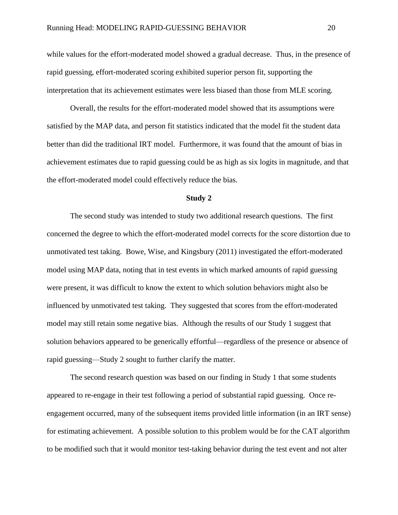while values for the effort-moderated model showed a gradual decrease. Thus, in the presence of rapid guessing, effort-moderated scoring exhibited superior person fit, supporting the interpretation that its achievement estimates were less biased than those from MLE scoring.

Overall, the results for the effort-moderated model showed that its assumptions were satisfied by the MAP data, and person fit statistics indicated that the model fit the student data better than did the traditional IRT model. Furthermore, it was found that the amount of bias in achievement estimates due to rapid guessing could be as high as six logits in magnitude, and that the effort-moderated model could effectively reduce the bias.

#### **Study 2**

The second study was intended to study two additional research questions. The first concerned the degree to which the effort-moderated model corrects for the score distortion due to unmotivated test taking. Bowe, Wise, and Kingsbury (2011) investigated the effort-moderated model using MAP data, noting that in test events in which marked amounts of rapid guessing were present, it was difficult to know the extent to which solution behaviors might also be influenced by unmotivated test taking. They suggested that scores from the effort-moderated model may still retain some negative bias. Although the results of our Study 1 suggest that solution behaviors appeared to be generically effortful—regardless of the presence or absence of rapid guessing—Study 2 sought to further clarify the matter.

The second research question was based on our finding in Study 1 that some students appeared to re-engage in their test following a period of substantial rapid guessing. Once reengagement occurred, many of the subsequent items provided little information (in an IRT sense) for estimating achievement. A possible solution to this problem would be for the CAT algorithm to be modified such that it would monitor test-taking behavior during the test event and not alter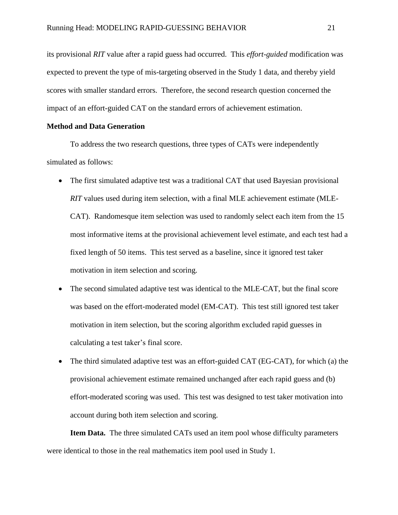its provisional *RIT* value after a rapid guess had occurred. This *effort-guided* modification was expected to prevent the type of mis-targeting observed in the Study 1 data, and thereby yield scores with smaller standard errors. Therefore, the second research question concerned the impact of an effort-guided CAT on the standard errors of achievement estimation.

# **Method and Data Generation**

To address the two research questions, three types of CATs were independently simulated as follows:

- The first simulated adaptive test was a traditional CAT that used Bayesian provisional *RIT* values used during item selection, with a final MLE achievement estimate (MLE-CAT). Randomesque item selection was used to randomly select each item from the 15 most informative items at the provisional achievement level estimate, and each test had a fixed length of 50 items. This test served as a baseline, since it ignored test taker motivation in item selection and scoring.
- The second simulated adaptive test was identical to the MLE-CAT, but the final score was based on the effort-moderated model (EM-CAT). This test still ignored test taker motivation in item selection, but the scoring algorithm excluded rapid guesses in calculating a test taker's final score.
- The third simulated adaptive test was an effort-guided CAT (EG-CAT), for which (a) the provisional achievement estimate remained unchanged after each rapid guess and (b) effort-moderated scoring was used. This test was designed to test taker motivation into account during both item selection and scoring.

**Item Data.** The three simulated CATs used an item pool whose difficulty parameters were identical to those in the real mathematics item pool used in Study 1.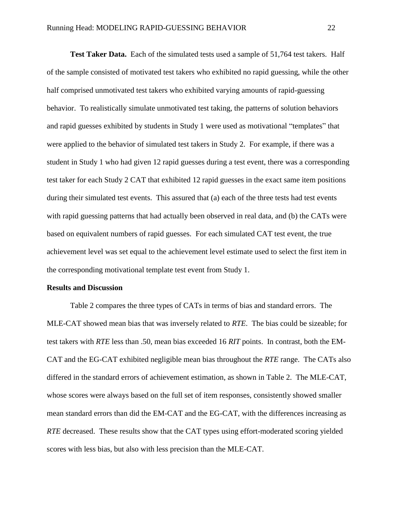**Test Taker Data.** Each of the simulated tests used a sample of 51,764 test takers. Half of the sample consisted of motivated test takers who exhibited no rapid guessing, while the other half comprised unmotivated test takers who exhibited varying amounts of rapid-guessing behavior. To realistically simulate unmotivated test taking, the patterns of solution behaviors and rapid guesses exhibited by students in Study 1 were used as motivational "templates" that were applied to the behavior of simulated test takers in Study 2. For example, if there was a student in Study 1 who had given 12 rapid guesses during a test event, there was a corresponding test taker for each Study 2 CAT that exhibited 12 rapid guesses in the exact same item positions during their simulated test events. This assured that (a) each of the three tests had test events with rapid guessing patterns that had actually been observed in real data, and (b) the CATs were based on equivalent numbers of rapid guesses. For each simulated CAT test event, the true achievement level was set equal to the achievement level estimate used to select the first item in the corresponding motivational template test event from Study 1.

## **Results and Discussion**

Table 2 compares the three types of CATs in terms of bias and standard errors. The MLE-CAT showed mean bias that was inversely related to *RTE*. The bias could be sizeable; for test takers with *RTE* less than .50, mean bias exceeded 16 *RIT* points. In contrast, both the EM-CAT and the EG-CAT exhibited negligible mean bias throughout the *RTE* range. The CATs also differed in the standard errors of achievement estimation, as shown in Table 2. The MLE-CAT, whose scores were always based on the full set of item responses, consistently showed smaller mean standard errors than did the EM-CAT and the EG-CAT, with the differences increasing as *RTE* decreased. These results show that the CAT types using effort-moderated scoring yielded scores with less bias, but also with less precision than the MLE-CAT.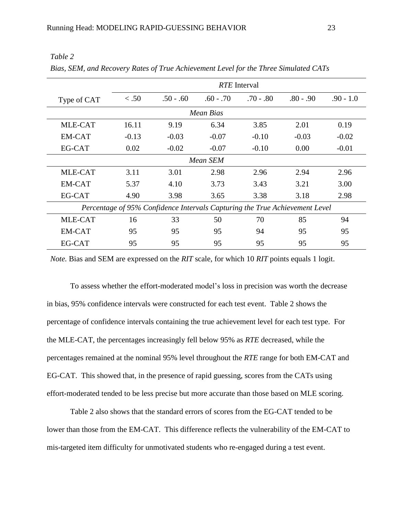|                                                                             | <i>RTE</i> Interval |             |             |             |             |             |  |  |
|-----------------------------------------------------------------------------|---------------------|-------------|-------------|-------------|-------------|-------------|--|--|
| Type of CAT                                                                 | < .50               | $.50 - .60$ | $.60 - .70$ | $.70 - .80$ | $.80 - .90$ | $.90 - 1.0$ |  |  |
| <b>Mean Bias</b>                                                            |                     |             |             |             |             |             |  |  |
| MLE-CAT                                                                     | 16.11               | 9.19        | 6.34        | 3.85        | 2.01        | 0.19        |  |  |
| EM-CAT                                                                      | $-0.13$             | $-0.03$     | $-0.07$     | $-0.10$     | $-0.03$     | $-0.02$     |  |  |
| EG-CAT                                                                      | 0.02                | $-0.02$     | $-0.07$     | $-0.10$     | 0.00        | $-0.01$     |  |  |
| Mean SEM                                                                    |                     |             |             |             |             |             |  |  |
| MLE-CAT                                                                     | 3.11                | 3.01        | 2.98        | 2.96        | 2.94        | 2.96        |  |  |
| EM-CAT                                                                      | 5.37                | 4.10        | 3.73        | 3.43        | 3.21        | 3.00        |  |  |
| EG-CAT                                                                      | 4.90                | 3.98        | 3.65        | 3.38        | 3.18        | 2.98        |  |  |
| Percentage of 95% Confidence Intervals Capturing the True Achievement Level |                     |             |             |             |             |             |  |  |
| MLE-CAT                                                                     | 16                  | 33          | 50          | 70          | 85          | 94          |  |  |
| EM-CAT                                                                      | 95                  | 95          | 95          | 94          | 95          | 95          |  |  |
| EG-CAT                                                                      | 95                  | 95          | 95          | 95          | 95          | 95          |  |  |

*Table 2 Bias, SEM, and Recovery Rates of True Achievement Level for the Three Simulated CATs*

*Note.* Bias and SEM are expressed on the *RIT* scale, for which 10 *RIT* points equals 1 logit.

To assess whether the effort-moderated model's loss in precision was worth the decrease in bias, 95% confidence intervals were constructed for each test event. Table 2 shows the percentage of confidence intervals containing the true achievement level for each test type. For the MLE-CAT, the percentages increasingly fell below 95% as *RTE* decreased, while the percentages remained at the nominal 95% level throughout the *RTE* range for both EM-CAT and EG-CAT. This showed that, in the presence of rapid guessing, scores from the CATs using effort-moderated tended to be less precise but more accurate than those based on MLE scoring.

Table 2 also shows that the standard errors of scores from the EG-CAT tended to be lower than those from the EM-CAT. This difference reflects the vulnerability of the EM-CAT to mis-targeted item difficulty for unmotivated students who re-engaged during a test event.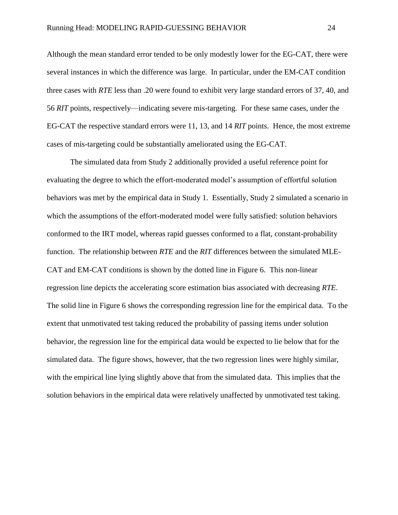Although the mean standard error tended to be only modestly lower for the EG-CAT, there were several instances in which the difference was large. In particular, under the EM-CAT condition three cases with *RTE* less than .20 were found to exhibit very large standard errors of 37, 40, and 56 *RIT* points, respectively—indicating severe mis-targeting. For these same cases, under the EG-CAT the respective standard errors were 11, 13, and 14 *RIT* points. Hence, the most extreme cases of mis-targeting could be substantially ameliorated using the EG-CAT.

The simulated data from Study 2 additionally provided a useful reference point for evaluating the degree to which the effort-moderated model's assumption of effortful solution behaviors was met by the empirical data in Study 1. Essentially, Study 2 simulated a scenario in which the assumptions of the effort-moderated model were fully satisfied: solution behaviors conformed to the IRT model, whereas rapid guesses conformed to a flat, constant-probability function. The relationship between *RTE* and the *RIT* differences between the simulated MLE-CAT and EM-CAT conditions is shown by the dotted line in Figure 6. This non-linear regression line depicts the accelerating score estimation bias associated with decreasing *RTE*. The solid line in Figure 6 shows the corresponding regression line for the empirical data. To the extent that unmotivated test taking reduced the probability of passing items under solution behavior, the regression line for the empirical data would be expected to lie below that for the simulated data. The figure shows, however, that the two regression lines were highly similar, with the empirical line lying slightly above that from the simulated data. This implies that the solution behaviors in the empirical data were relatively unaffected by unmotivated test taking.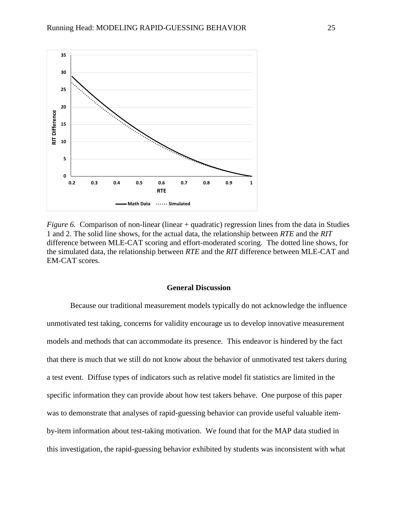

*Figure 6.* Comparison of non-linear (linear + quadratic) regression lines from the data in Studies 1 and 2. The solid line shows, for the actual data, the relationship between *RTE* and the *RIT* difference between MLE-CAT scoring and effort-moderated scoring. The dotted line shows, for the simulated data, the relationship between *RTE* and the *RIT* difference between MLE-CAT and EM-CAT scores.

## **General Discussion**

Because our traditional measurement models typically do not acknowledge the influence unmotivated test taking, concerns for validity encourage us to develop innovative measurement models and methods that can accommodate its presence. This endeavor is hindered by the fact that there is much that we still do not know about the behavior of unmotivated test takers during a test event. Diffuse types of indicators such as relative model fit statistics are limited in the specific information they can provide about how test takers behave. One purpose of this paper was to demonstrate that analyses of rapid-guessing behavior can provide useful valuable itemby-item information about test-taking motivation. We found that for the MAP data studied in this investigation, the rapid-guessing behavior exhibited by students was inconsistent with what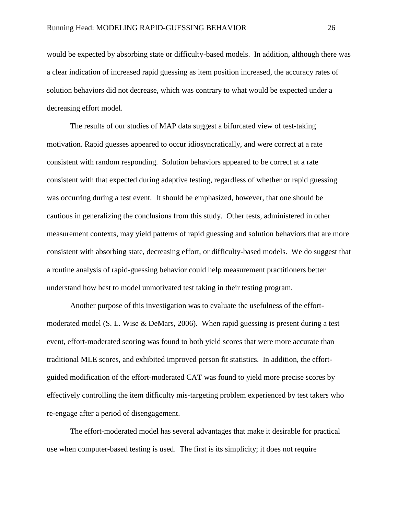would be expected by absorbing state or difficulty-based models. In addition, although there was a clear indication of increased rapid guessing as item position increased, the accuracy rates of solution behaviors did not decrease, which was contrary to what would be expected under a decreasing effort model.

The results of our studies of MAP data suggest a bifurcated view of test-taking motivation. Rapid guesses appeared to occur idiosyncratically, and were correct at a rate consistent with random responding. Solution behaviors appeared to be correct at a rate consistent with that expected during adaptive testing, regardless of whether or rapid guessing was occurring during a test event. It should be emphasized, however, that one should be cautious in generalizing the conclusions from this study. Other tests, administered in other measurement contexts, may yield patterns of rapid guessing and solution behaviors that are more consistent with absorbing state, decreasing effort, or difficulty-based models. We do suggest that a routine analysis of rapid-guessing behavior could help measurement practitioners better understand how best to model unmotivated test taking in their testing program.

Another purpose of this investigation was to evaluate the usefulness of the effortmoderated model (S. L. Wise & DeMars, 2006). When rapid guessing is present during a test event, effort-moderated scoring was found to both yield scores that were more accurate than traditional MLE scores, and exhibited improved person fit statistics. In addition, the effortguided modification of the effort-moderated CAT was found to yield more precise scores by effectively controlling the item difficulty mis-targeting problem experienced by test takers who re-engage after a period of disengagement.

The effort-moderated model has several advantages that make it desirable for practical use when computer-based testing is used. The first is its simplicity; it does not require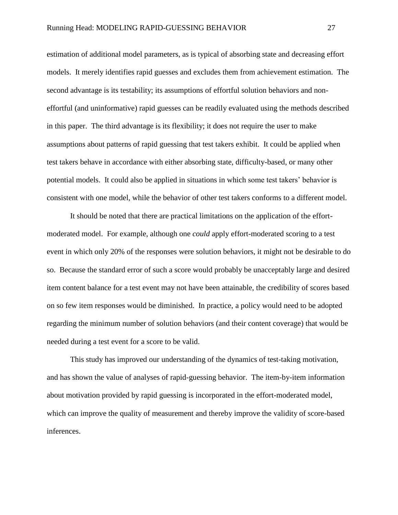estimation of additional model parameters, as is typical of absorbing state and decreasing effort models. It merely identifies rapid guesses and excludes them from achievement estimation. The second advantage is its testability; its assumptions of effortful solution behaviors and noneffortful (and uninformative) rapid guesses can be readily evaluated using the methods described in this paper. The third advantage is its flexibility; it does not require the user to make assumptions about patterns of rapid guessing that test takers exhibit. It could be applied when test takers behave in accordance with either absorbing state, difficulty-based, or many other potential models. It could also be applied in situations in which some test takers' behavior is consistent with one model, while the behavior of other test takers conforms to a different model.

It should be noted that there are practical limitations on the application of the effortmoderated model. For example, although one *could* apply effort-moderated scoring to a test event in which only 20% of the responses were solution behaviors, it might not be desirable to do so. Because the standard error of such a score would probably be unacceptably large and desired item content balance for a test event may not have been attainable, the credibility of scores based on so few item responses would be diminished. In practice, a policy would need to be adopted regarding the minimum number of solution behaviors (and their content coverage) that would be needed during a test event for a score to be valid.

This study has improved our understanding of the dynamics of test-taking motivation, and has shown the value of analyses of rapid-guessing behavior. The item-by-item information about motivation provided by rapid guessing is incorporated in the effort-moderated model, which can improve the quality of measurement and thereby improve the validity of score-based inferences.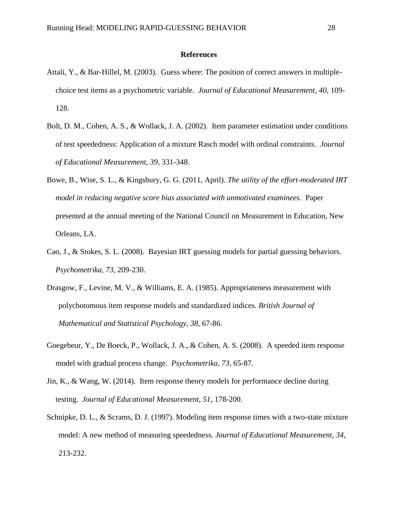#### **References**

- Attali, Y., & Bar-Hillel, M. (2003). Guess where: The position of correct answers in multiplechoice test items as a psychometric variable. *Journal of Educational Measurement, 40*, 109- 128.
- Bolt, D. M., Cohen, A. S., & Wollack, J. A. (2002). Item parameter estimation under conditions of test speededness: Application of a mixture Rasch model with ordinal constraints. *Journal of Educational Measurement, 39*, 331-348.
- Bowe, B., Wise, S. L., & Kingsbury, G. G. (2011, April). *The utility of the effort-moderated IRT model in reducing negative score bias associated with unmotivated examinees*. Paper presented at the annual meeting of the National Council on Measurement in Education, New Orleans, LA.
- Cao, J., & Stokes, S. L. (2008). Bayesian IRT guessing models for partial guessing behaviors. *Psychometrika, 73*, 209-230.
- Drasgow, F., Levine, M. V., & Williams, E. A. (1985). Appropriateness measurement with polychotomous item response models and standardized indices. *British Journal of Mathematical and Statistical Psychology, 38,* 67-86.
- Goegebeur, Y., De Boeck, P., Wollack, J. A., & Cohen, A. S. (2008). A speeded item response model with gradual process change. *Psychometrika, 73*, 65-87.
- Jin, K., & Wang, W. (2014). Item response theory models for performance decline during testing. *Journal of Educational Measurement, 51*, 178-200.
- Schnipke, D. L., & Scrams, D. J. (1997). Modeling item response times with a two-state mixture model: A new method of measuring speededness. *Journal of Educational Measurement, 34*, 213-232.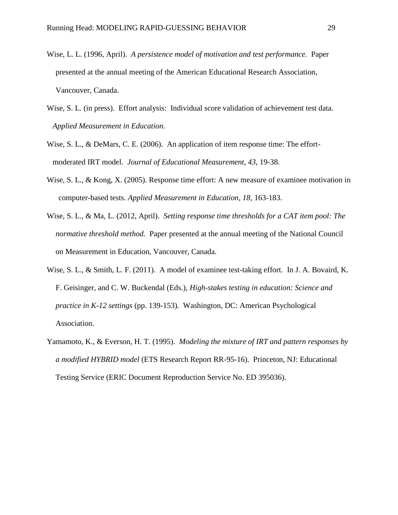- Wise, L. L. (1996, April). *A persistence model of motivation and test performance.* Paper presented at the annual meeting of the American Educational Research Association, Vancouver, Canada.
- Wise, S. L. (in press). Effort analysis: Individual score validation of achievement test data. *Applied Measurement in Education.*
- Wise, S. L., & DeMars, C. E. (2006). An application of item response time: The effortmoderated IRT model. *Journal of Educational Measurement, 43,* 19-38.
- Wise, S. L., & Kong, X. (2005). Response time effort: A new measure of examinee motivation in computer-based tests. *Applied Measurement in Education, 18,* 163-183.
- Wise, S. L., & Ma, L. (2012, April). *Setting response time thresholds for a CAT item pool: The normative threshold method.* Paper presented at the annual meeting of the National Council on Measurement in Education, Vancouver, Canada.
- Wise, S. L., & Smith, L. F. (2011). A model of examinee test-taking effort. In J. A. Bovaird, K. F. Geisinger, and C. W. Buckendal (Eds.), *High-stakes testing in education: Science and practice in K-12 settings* (pp. 139-153)*.* Washington, DC: American Psychological Association.
- Yamamoto, K., & Everson, H. T. (1995). *Modeling the mixture of IRT and pattern responses by a modified HYBRID model* (ETS Research Report RR-95-16). Princeton, NJ: Educational Testing Service (ERIC Document Reproduction Service No. ED 395036).